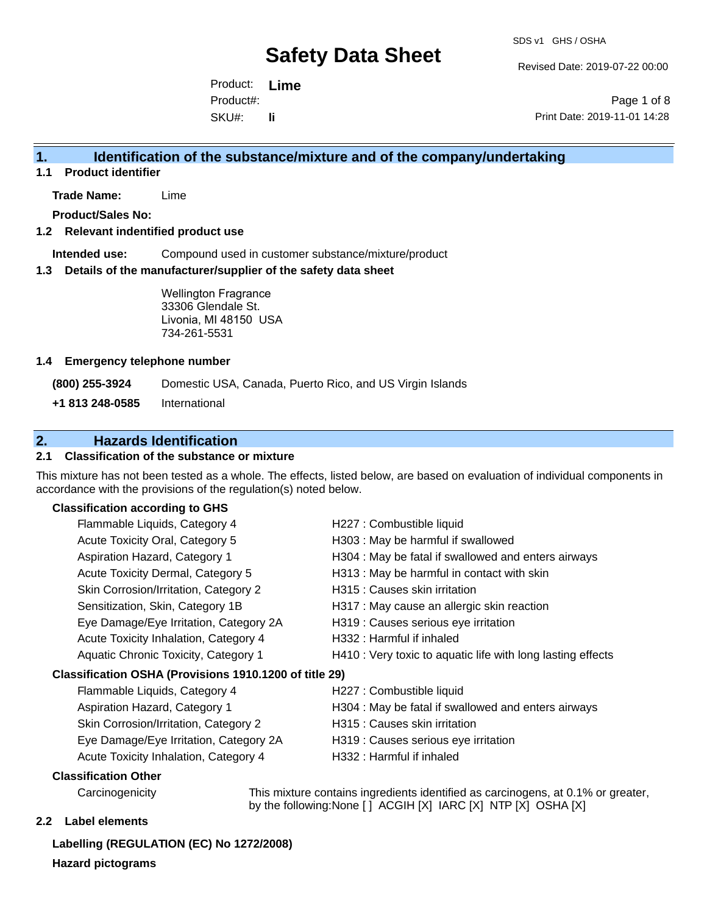Revised Date: 2019-07-22 00:00

Product: **Lime** SKU#: Product#: **li**

Page 1 of 8 Print Date: 2019-11-01 14:28

## **1. Identification of the substance/mixture and of the company/undertaking**

**1.1 Product identifier**

**Trade Name:** Lime

**Product/Sales No:**

### **1.2 Relevant indentified product use**

**Intended use:** Compound used in customer substance/mixture/product

### **1.3 Details of the manufacturer/supplier of the safety data sheet**

Wellington Fragrance 33306 Glendale St. Livonia, MI 48150 USA 734-261-5531

### **1.4 Emergency telephone number**

**(800) 255-3924** Domestic USA, Canada, Puerto Rico, and US Virgin Islands

**+1 813 248-0585** International

## **2. Hazards Identification**

## **2.1 Classification of the substance or mixture**

This mixture has not been tested as a whole. The effects, listed below, are based on evaluation of individual components in accordance with the provisions of the regulation(s) noted below.

## **Classification according to GHS**

| Flammable Liquids, Category 4                          | H227 : Combustible liquid                                   |
|--------------------------------------------------------|-------------------------------------------------------------|
| Acute Toxicity Oral, Category 5                        | H303 : May be harmful if swallowed                          |
| Aspiration Hazard, Category 1                          | H304 : May be fatal if swallowed and enters airways         |
| Acute Toxicity Dermal, Category 5                      | H313 : May be harmful in contact with skin                  |
| Skin Corrosion/Irritation, Category 2                  | H315 : Causes skin irritation                               |
| Sensitization, Skin, Category 1B                       | H317 : May cause an allergic skin reaction                  |
| Eye Damage/Eye Irritation, Category 2A                 | H319 : Causes serious eye irritation                        |
| Acute Toxicity Inhalation, Category 4                  | H332: Harmful if inhaled                                    |
| Aquatic Chronic Toxicity, Category 1                   | H410 : Very toxic to aquatic life with long lasting effects |
| Classification OSHA (Provisions 1910.1200 of title 29) |                                                             |
| Flammable Liquids, Category 4                          | H227 : Combustible liquid                                   |
| Aspiration Hazard, Category 1                          | H304 : May be fatal if swallowed and enters airways         |
| Skin Corrosion/Irritation, Category 2                  | H315 : Causes skin irritation                               |

- Eye Damage/Eye Irritation, Category 2A H319 : Causes serious eye irritation Acute Toxicity Inhalation, Category 4 H332 : Harmful if inhaled
- -
	-

### **Classification Other**

Carcinogenicity This mixture contains ingredients identified as carcinogens, at 0.1% or greater, by the following:None [ ] ACGIH [X] IARC [X] NTP [X] OSHA [X]

### **2.2 Label elements**

**Labelling (REGULATION (EC) No 1272/2008) Hazard pictograms**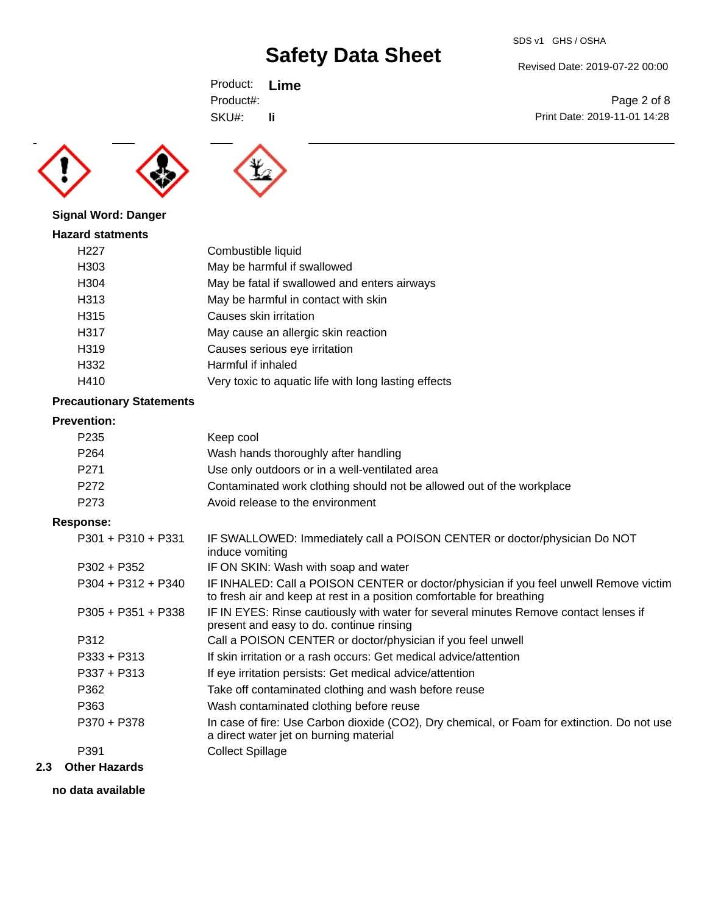Print Date: 2019-11-01 14:28

Page 2 of 8

Product: **Lime** SKU#: Product#: **li**





## **Signal Word: Danger**

| <b>Hazard statments</b> |                                                      |
|-------------------------|------------------------------------------------------|
| H <sub>22</sub> 7       | Combustible liquid                                   |
| H303                    | May be harmful if swallowed                          |
| H304                    | May be fatal if swallowed and enters airways         |
| H313                    | May be harmful in contact with skin                  |
| H315                    | Causes skin irritation                               |
| H317                    | May cause an allergic skin reaction                  |
| H319                    | Causes serious eye irritation                        |
| H332                    | Harmful if inhaled                                   |
| H410                    | Very toxic to aquatic life with long lasting effects |
|                         |                                                      |

## **Precautionary Statements**

## **Prevention:**

| P235 | Keep cool                                                             |
|------|-----------------------------------------------------------------------|
| P264 | Wash hands thoroughly after handling                                  |
| P271 | Use only outdoors or in a well-ventilated area                        |
| P272 | Contaminated work clothing should not be allowed out of the workplace |
| P273 | Avoid release to the environment                                      |

## **Response:**

| $P301 + P310 + P331$ | IF SWALLOWED: Immediately call a POISON CENTER or doctor/physician Do NOT<br>induce vomiting                                                                   |
|----------------------|----------------------------------------------------------------------------------------------------------------------------------------------------------------|
| $P302 + P352$        | IF ON SKIN: Wash with soap and water                                                                                                                           |
| $P304 + P312 + P340$ | IF INHALED: Call a POISON CENTER or doctor/physician if you feel unwell Remove victim<br>to fresh air and keep at rest in a position comfortable for breathing |
| $P305 + P351 + P338$ | IF IN EYES: Rinse cautiously with water for several minutes Remove contact lenses if<br>present and easy to do. continue rinsing                               |
| P312                 | Call a POISON CENTER or doctor/physician if you feel unwell                                                                                                    |
| $P333 + P313$        | If skin irritation or a rash occurs: Get medical advice/attention                                                                                              |
| $P337 + P313$        | If eye irritation persists: Get medical advice/attention                                                                                                       |
| P362                 | Take off contaminated clothing and wash before reuse                                                                                                           |
| P363                 | Wash contaminated clothing before reuse                                                                                                                        |
| P370 + P378          | In case of fire: Use Carbon dioxide (CO2), Dry chemical, or Foam for extinction. Do not use<br>a direct water jet on burning material                          |
| P391                 | <b>Collect Spillage</b>                                                                                                                                        |
|                      |                                                                                                                                                                |

## **2.3 Other Hazards**

**no data available**

#### Revised Date: 2019-07-22 00:00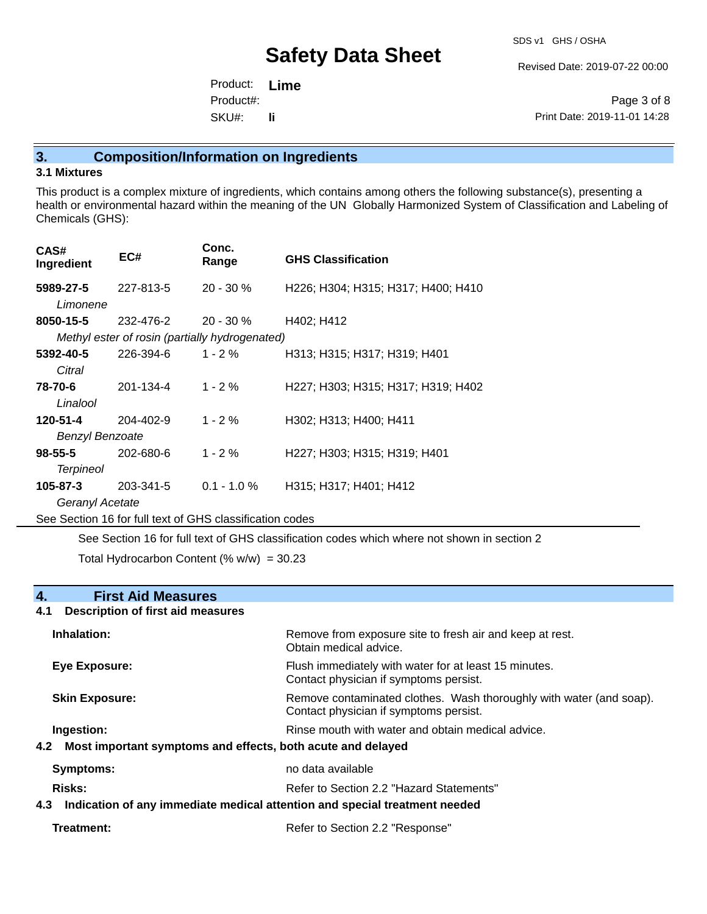Revised Date: 2019-07-22 00:00

Product: **Lime** SKU#: Product#: **li**

Page 3 of 8 Print Date: 2019-11-01 14:28

## **3. Composition/Information on Ingredients**

## **3.1 Mixtures**

This product is a complex mixture of ingredients, which contains among others the following substance(s), presenting a health or environmental hazard within the meaning of the UN Globally Harmonized System of Classification and Labeling of Chemicals (GHS):

| CAS#<br>Ingredient                                       | EC#                                            | Conc.<br>Range | <b>GHS Classification</b>          |  |  |
|----------------------------------------------------------|------------------------------------------------|----------------|------------------------------------|--|--|
| 5989-27-5<br>Limonene                                    | 227-813-5                                      | 20 - 30 %      | H226; H304; H315; H317; H400; H410 |  |  |
| 8050-15-5                                                | 232-476-2                                      | $20 - 30 \%$   | H402; H412                         |  |  |
|                                                          | Methyl ester of rosin (partially hydrogenated) |                |                                    |  |  |
| 5392-40-5<br>Citral                                      | 226-394-6                                      | 1 - 2 %        | H313; H315; H317; H319; H401       |  |  |
| 78-70-6<br>Linalool                                      | 201-134-4                                      | $1 - 2%$       | H227; H303; H315; H317; H319; H402 |  |  |
| 120-51-4                                                 | 204-402-9                                      | $1 - 2 \%$     | H302; H313; H400; H411             |  |  |
| <b>Benzyl Benzoate</b>                                   |                                                |                |                                    |  |  |
| $98 - 55 - 5$<br><b>Terpineol</b>                        | 202-680-6                                      | $1 - 2 \%$     | H227; H303; H315; H319; H401       |  |  |
| 105-87-3                                                 | 203-341-5                                      | $0.1 - 1.0 %$  | H315; H317; H401; H412             |  |  |
|                                                          | Geranyl Acetate                                |                |                                    |  |  |
| See Section 16 for full text of GHS classification codes |                                                |                |                                    |  |  |

See Section 16 for full text of GHS classification codes which where not shown in section 2

Total Hydrocarbon Content (%  $w/w$ ) = 30.23

| <b>First Aid Measures</b><br>4.                                                |                                                                                                               |
|--------------------------------------------------------------------------------|---------------------------------------------------------------------------------------------------------------|
| <b>Description of first aid measures</b><br>4.1                                |                                                                                                               |
| Inhalation:                                                                    | Remove from exposure site to fresh air and keep at rest.<br>Obtain medical advice.                            |
| <b>Eye Exposure:</b>                                                           | Flush immediately with water for at least 15 minutes.<br>Contact physician if symptoms persist.               |
| <b>Skin Exposure:</b>                                                          | Remove contaminated clothes. Wash thoroughly with water (and soap).<br>Contact physician if symptoms persist. |
| Ingestion:                                                                     | Rinse mouth with water and obtain medical advice.                                                             |
| 4.2 Most important symptoms and effects, both acute and delayed                |                                                                                                               |
| Symptoms:                                                                      | no data available                                                                                             |
| Risks:                                                                         | Refer to Section 2.2 "Hazard Statements"                                                                      |
| 4.3 Indication of any immediate medical attention and special treatment needed |                                                                                                               |
| Treatment:                                                                     | Refer to Section 2.2 "Response"                                                                               |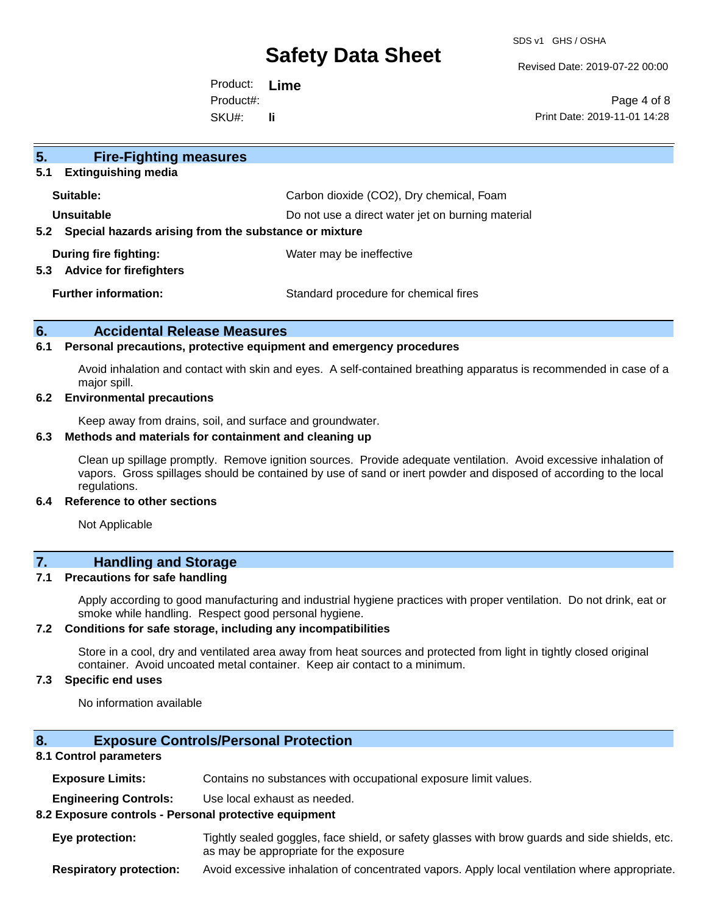SDS v1 GHS / OSHA

Revised Date: 2019-07-22 00:00

Product: **Lime** SKU#: Product#: **li**

Page 4 of 8 Print Date: 2019-11-01 14:28

| 5 <sub>1</sub><br><b>Fire-Fighting measures</b>                |                                                   |  |  |  |
|----------------------------------------------------------------|---------------------------------------------------|--|--|--|
| <b>Extinguishing media</b><br>5.1                              |                                                   |  |  |  |
| Suitable:                                                      | Carbon dioxide (CO2), Dry chemical, Foam          |  |  |  |
| Unsuitable                                                     | Do not use a direct water jet on burning material |  |  |  |
| Special hazards arising from the substance or mixture<br>5.2   |                                                   |  |  |  |
| During fire fighting:<br><b>Advice for firefighters</b><br>5.3 | Water may be ineffective                          |  |  |  |
| <b>Further information:</b>                                    | Standard procedure for chemical fires             |  |  |  |

## **6. Accidental Release Measures**

### **6.1 Personal precautions, protective equipment and emergency procedures**

Avoid inhalation and contact with skin and eyes. A self-contained breathing apparatus is recommended in case of a major spill.

## **6.2 Environmental precautions**

Keep away from drains, soil, and surface and groundwater.

#### **6.3 Methods and materials for containment and cleaning up**

Clean up spillage promptly. Remove ignition sources. Provide adequate ventilation. Avoid excessive inhalation of vapors. Gross spillages should be contained by use of sand or inert powder and disposed of according to the local regulations.

#### **6.4 Reference to other sections**

Not Applicable

## **7. Handling and Storage**

### **7.1 Precautions for safe handling**

Apply according to good manufacturing and industrial hygiene practices with proper ventilation. Do not drink, eat or smoke while handling. Respect good personal hygiene.

### **7.2 Conditions for safe storage, including any incompatibilities**

Store in a cool, dry and ventilated area away from heat sources and protected from light in tightly closed original container. Avoid uncoated metal container. Keep air contact to a minimum.

## **7.3 Specific end uses**

No information available

## **8. Exposure Controls/Personal Protection**

### **8.1 Control parameters**

**Exposure Limits:** Contains no substances with occupational exposure limit values.

**Engineering Controls:** Use local exhaust as needed.

### **8.2 Exposure controls - Personal protective equipment**

**Eye protection:** Tightly sealed goggles, face shield, or safety glasses with brow guards and side shields, etc. as may be appropriate for the exposure

**Respiratory protection:** Avoid excessive inhalation of concentrated vapors. Apply local ventilation where appropriate.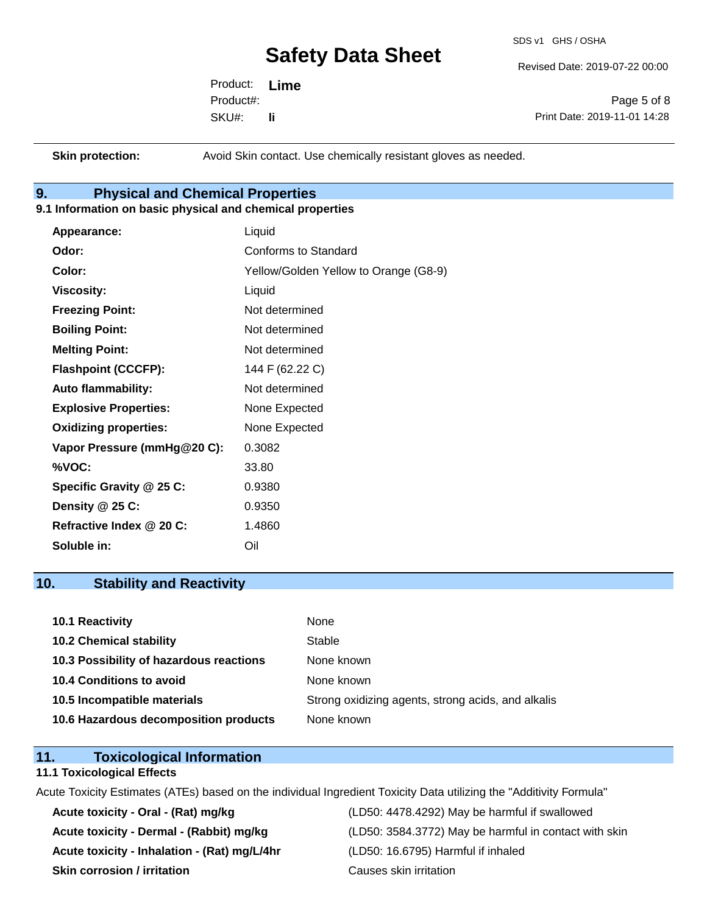SDS v1 GHS / OSHA

Revised Date: 2019-07-22 00:00

Product: **Lime** SKU#: Product#: **li**

Page 5 of 8 Print Date: 2019-11-01 14:28

**Skin protection:** Avoid Skin contact. Use chemically resistant gloves as needed.

## **9. Physical and Chemical Properties**

## **9.1 Information on basic physical and chemical properties**

| Appearance:                  | Liquid                                |
|------------------------------|---------------------------------------|
| Odor:                        | Conforms to Standard                  |
| Color:                       | Yellow/Golden Yellow to Orange (G8-9) |
| <b>Viscosity:</b>            | Liquid                                |
| <b>Freezing Point:</b>       | Not determined                        |
| <b>Boiling Point:</b>        | Not determined                        |
| <b>Melting Point:</b>        | Not determined                        |
| <b>Flashpoint (CCCFP):</b>   | 144 F (62.22 C)                       |
| <b>Auto flammability:</b>    | Not determined                        |
| <b>Explosive Properties:</b> | None Expected                         |
| <b>Oxidizing properties:</b> | None Expected                         |
| Vapor Pressure (mmHg@20 C):  | 0.3082                                |
| %VOC:                        | 33.80                                 |
| Specific Gravity @ 25 C:     | 0.9380                                |
| Density @ 25 C:              | 0.9350                                |
| Refractive Index @ 20 C:     | 1.4860                                |
| Soluble in:                  | Oil                                   |

## **10. Stability and Reactivity**

| 10.1 Reactivity                         | None                                               |
|-----------------------------------------|----------------------------------------------------|
| <b>10.2 Chemical stability</b>          | Stable                                             |
| 10.3 Possibility of hazardous reactions | None known                                         |
| <b>10.4 Conditions to avoid</b>         | None known                                         |
| 10.5 Incompatible materials             | Strong oxidizing agents, strong acids, and alkalis |
| 10.6 Hazardous decomposition products   | None known                                         |

## **11. Toxicological Information**

### **11.1 Toxicological Effects**

Acute Toxicity Estimates (ATEs) based on the individual Ingredient Toxicity Data utilizing the "Additivity Formula"

**Acute toxicity - Inhalation - (Rat) mg/L/4hr** (LD50: 16.6795) Harmful if inhaled **Skin corrosion / irritation Causes skin irritation** 

**Acute toxicity - Oral - (Rat) mg/kg** (LD50: 4478.4292) May be harmful if swallowed Acute toxicity - Dermal - (Rabbit) mg/kg<br>
(LD50: 3584.3772) May be harmful in contact with skin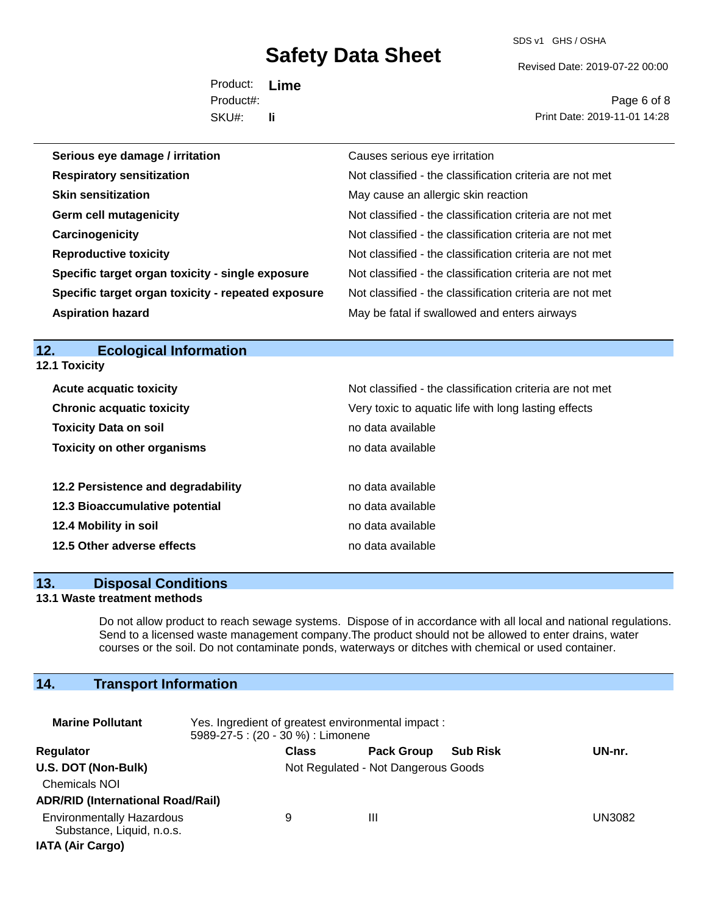SDS v1 GHS / OSHA

Revised Date: 2019-07-22 00:00

Product: **Lime** SKU#: Product#: **li**

Page 6 of 8 Print Date: 2019-11-01 14:28

| Serious eye damage / irritation                    | Causes serious eye irritation                            |
|----------------------------------------------------|----------------------------------------------------------|
| <b>Respiratory sensitization</b>                   | Not classified - the classification criteria are not met |
| <b>Skin sensitization</b>                          | May cause an allergic skin reaction                      |
| <b>Germ cell mutagenicity</b>                      | Not classified - the classification criteria are not met |
| Carcinogenicity                                    | Not classified - the classification criteria are not met |
| <b>Reproductive toxicity</b>                       | Not classified - the classification criteria are not met |
| Specific target organ toxicity - single exposure   | Not classified - the classification criteria are not met |
| Specific target organ toxicity - repeated exposure | Not classified - the classification criteria are not met |
| <b>Aspiration hazard</b>                           | May be fatal if swallowed and enters airways             |

## **12. Ecological Information 12.1 Toxicity**

| <b>Acute acquatic toxicity</b>     | Not classified - the classification criteria are not met |
|------------------------------------|----------------------------------------------------------|
| <b>Chronic acquatic toxicity</b>   | Very toxic to aquatic life with long lasting effects     |
| <b>Toxicity Data on soil</b>       | no data available                                        |
| <b>Toxicity on other organisms</b> | no data available                                        |
| 12.2 Persistence and degradability | no data available                                        |
| 12.3 Bioaccumulative potential     | no data available                                        |
| 12.4 Mobility in soil              | no data available                                        |
| 12.5 Other adverse effects         | no data available                                        |

### **13. Disposal Conditions**

### **13.1 Waste treatment methods**

Do not allow product to reach sewage systems. Dispose of in accordance with all local and national regulations. Send to a licensed waste management company.The product should not be allowed to enter drains, water courses or the soil. Do not contaminate ponds, waterways or ditches with chemical or used container.

## **14. Transport Information**

| <b>Marine Pollutant</b>                                                                  | Yes. Ingredient of greatest environmental impact:<br>5989-27-5 : (20 - 30 %) : Limonene |                                     |                   |                 |  |        |
|------------------------------------------------------------------------------------------|-----------------------------------------------------------------------------------------|-------------------------------------|-------------------|-----------------|--|--------|
| <b>Regulator</b>                                                                         |                                                                                         | <b>Class</b>                        | <b>Pack Group</b> | <b>Sub Risk</b> |  | UN-nr. |
| U.S. DOT (Non-Bulk)<br><b>Chemicals NOI</b><br><b>ADR/RID (International Road/Rail)</b>  |                                                                                         | Not Regulated - Not Dangerous Goods |                   |                 |  |        |
| <b>Environmentally Hazardous</b><br>Substance, Liquid, n.o.s.<br><b>IATA (Air Cargo)</b> |                                                                                         | 9                                   | Ш                 |                 |  | UN3082 |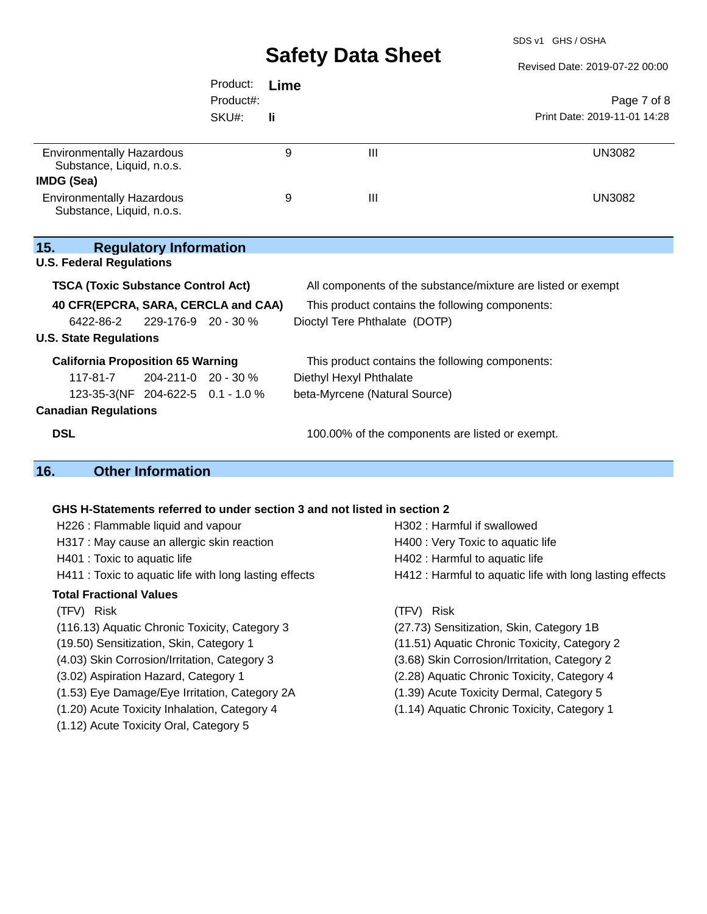SDS v1 GHS / OSHA

|                                                                                                                  |                               | Product:<br>Product#:<br>SKU#: | Lime<br>li. |                                                                                                             | Page 7 of 8<br>Print Date: 2019-11-01 14:28 |  |
|------------------------------------------------------------------------------------------------------------------|-------------------------------|--------------------------------|-------------|-------------------------------------------------------------------------------------------------------------|---------------------------------------------|--|
| <b>Environmentally Hazardous</b><br>Substance, Liquid, n.o.s.                                                    |                               |                                | 9           | III                                                                                                         | <b>UN3082</b>                               |  |
| IMDG (Sea)                                                                                                       |                               |                                |             |                                                                                                             |                                             |  |
| <b>Environmentally Hazardous</b><br>Substance, Liquid, n.o.s.                                                    |                               |                                | 9           | $\mathbf{III}$                                                                                              | <b>UN3082</b>                               |  |
| 15.<br><b>U.S. Federal Regulations</b>                                                                           | <b>Regulatory Information</b> |                                |             |                                                                                                             |                                             |  |
| <b>TSCA (Toxic Substance Control Act)</b><br>All components of the substance/mixture are listed or exempt        |                               |                                |             |                                                                                                             |                                             |  |
| 40 CFR(EPCRA, SARA, CERCLA and CAA)                                                                              |                               |                                |             | This product contains the following components:                                                             |                                             |  |
| 6422-86-2                                                                                                        | 229-176-9 20 - 30 %           |                                |             | Dioctyl Tere Phthalate (DOTP)                                                                               |                                             |  |
| <b>U.S. State Regulations</b>                                                                                    |                               |                                |             |                                                                                                             |                                             |  |
| <b>California Proposition 65 Warning</b><br>117-81-7<br>204-211-0 20 - 30 %<br>123-35-3(NF 204-622-5 0.1 - 1.0 % |                               |                                |             | This product contains the following components:<br>Diethyl Hexyl Phthalate<br>beta-Myrcene (Natural Source) |                                             |  |
| <b>Canadian Regulations</b>                                                                                      |                               |                                |             |                                                                                                             |                                             |  |
| <b>DSL</b>                                                                                                       |                               |                                |             | 100.00% of the components are listed or exempt.                                                             |                                             |  |
| 16.                                                                                                              | <b>Other Information</b>      |                                |             |                                                                                                             |                                             |  |
|                                                                                                                  |                               |                                |             |                                                                                                             |                                             |  |
|                                                                                                                  |                               |                                |             | GHS H-Statements referred to under section 3 and not listed in section 2                                    |                                             |  |
| H226 : Flammable liquid and vapour                                                                               |                               |                                |             | H302: Harmful if swallowed                                                                                  |                                             |  |
| H317 : May cause an allergic skin reaction                                                                       |                               |                                |             | H400 : Very Toxic to aquatic life                                                                           |                                             |  |

- 
- 

### **Total Fractional Values**

(TFV) Risk (TFV) Risk

(116.13) Aquatic Chronic Toxicity, Category 3 (27.73) Sensitization, Skin, Category 1B

- 
- 
- 
- (1.53) Eye Damage/Eye Irritation, Category 2A (1.39) Acute Toxicity Dermal, Category 5
- 
- (1.12) Acute Toxicity Oral, Category 5
- H401 : Toxic to aquatic life **H402** : Harmful to aquatic life H411 : Toxic to aquatic life with long lasting effects H412 : Harmful to aquatic life with long lasting effects
	-
	-
- (19.50) Sensitization, Skin, Category 1 (11.51) Aquatic Chronic Toxicity, Category 2
- (4.03) Skin Corrosion/Irritation, Category 3 (3.68) Skin Corrosion/Irritation, Category 2
- (3.02) Aspiration Hazard, Category 1 (2.28) Aquatic Chronic Toxicity, Category 4
	-
- (1.20) Acute Toxicity Inhalation, Category 4 (1.14) Aquatic Chronic Toxicity, Category 1